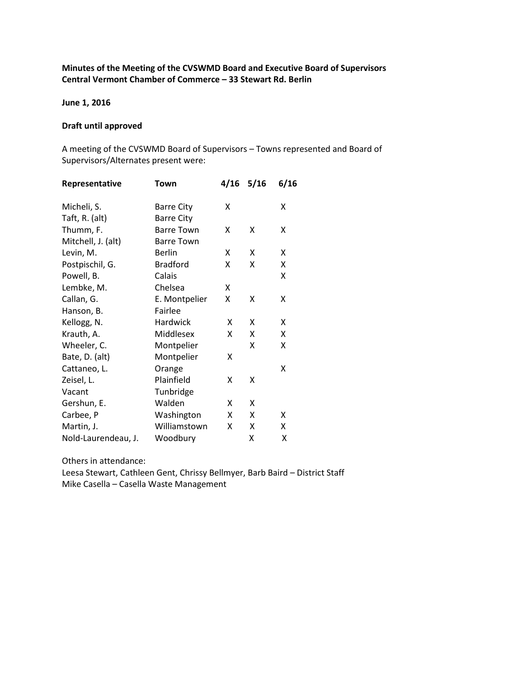# Minutes of the Meeting of the CVSWMD Board and Executive Board of Supervisors Central Vermont Chamber of Commerce – 33 Stewart Rd. Berlin

June 1, 2016

### Draft until approved

A meeting of the CVSWMD Board of Supervisors – Towns represented and Board of Supervisors/Alternates present were:

| Χ |
|---|
|   |
| Χ |
|   |
|   |
| x |
|   |
|   |
|   |
|   |
|   |
|   |
|   |

Others in attendance:

Leesa Stewart, Cathleen Gent, Chrissy Bellmyer, Barb Baird – District Staff Mike Casella – Casella Waste Management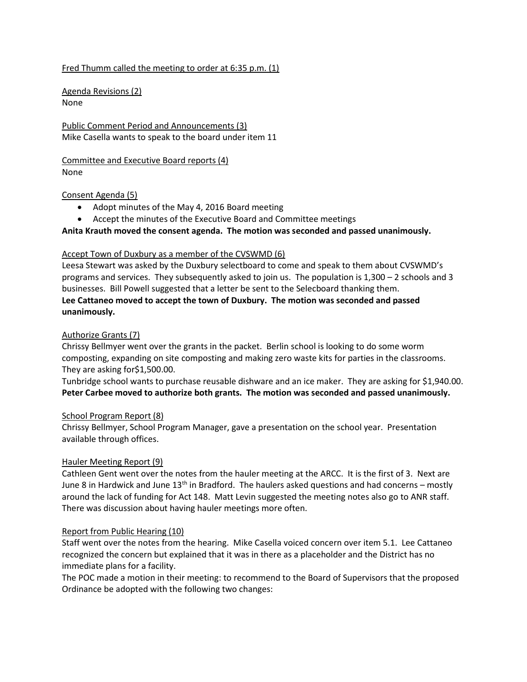# Fred Thumm called the meeting to order at 6:35 p.m. (1)

Agenda Revisions (2) None

Public Comment Period and Announcements (3) Mike Casella wants to speak to the board under item 11

Committee and Executive Board reports (4) None

### Consent Agenda (5)

- Adopt minutes of the May 4, 2016 Board meeting
- Accept the minutes of the Executive Board and Committee meetings

## Anita Krauth moved the consent agenda. The motion was seconded and passed unanimously.

## Accept Town of Duxbury as a member of the CVSWMD (6)

Leesa Stewart was asked by the Duxbury selectboard to come and speak to them about CVSWMD's programs and services. They subsequently asked to join us. The population is 1,300 – 2 schools and 3 businesses. Bill Powell suggested that a letter be sent to the Selecboard thanking them. Lee Cattaneo moved to accept the town of Duxbury. The motion was seconded and passed unanimously.

## Authorize Grants (7)

Chrissy Bellmyer went over the grants in the packet. Berlin school is looking to do some worm composting, expanding on site composting and making zero waste kits for parties in the classrooms. They are asking for\$1,500.00.

Tunbridge school wants to purchase reusable dishware and an ice maker. They are asking for \$1,940.00. Peter Carbee moved to authorize both grants. The motion was seconded and passed unanimously.

#### School Program Report (8)

Chrissy Bellmyer, School Program Manager, gave a presentation on the school year. Presentation available through offices.

## Hauler Meeting Report (9)

Cathleen Gent went over the notes from the hauler meeting at the ARCC. It is the first of 3. Next are June 8 in Hardwick and June  $13<sup>th</sup>$  in Bradford. The haulers asked questions and had concerns – mostly around the lack of funding for Act 148. Matt Levin suggested the meeting notes also go to ANR staff. There was discussion about having hauler meetings more often.

## Report from Public Hearing (10)

Staff went over the notes from the hearing. Mike Casella voiced concern over item 5.1. Lee Cattaneo recognized the concern but explained that it was in there as a placeholder and the District has no immediate plans for a facility.

The POC made a motion in their meeting: to recommend to the Board of Supervisors that the proposed Ordinance be adopted with the following two changes: